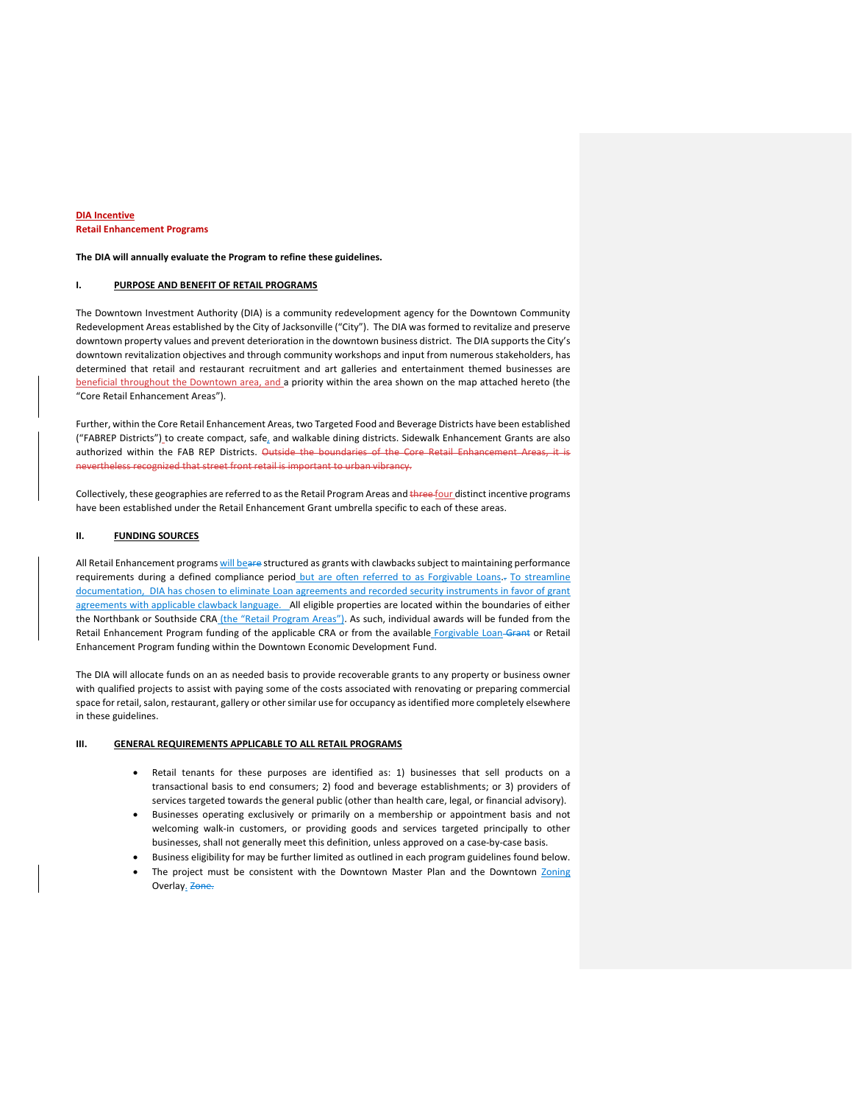### **DIA Incentive Retail Enhancement Programs**

**The DIA will annually evaluate the Program to refine these guidelines.** 

## **I. PURPOSE AND BENEFIT OF RETAIL PROGRAMS**

The Downtown Investment Authority (DIA) is a community redevelopment agency for the Downtown Community Redevelopment Areas established by the City of Jacksonville ("City"). The DIA was formed to revitalize and preserve downtown property values and prevent deterioration in the downtown business district. The DIA supports the City's downtown revitalization objectives and through community workshops and input from numerous stakeholders, has determined that retail and restaurant recruitment and art galleries and entertainment themed businesses are beneficial throughout the Downtown area, and a priority within the area shown on the map attached hereto (the "Core Retail Enhancement Areas").

Further, within the Core Retail Enhancement Areas, two Targeted Food and Beverage Districts have been established ("FABREP Districts") to create compact, safe, and walkable dining districts. Sidewalk Enhancement Grants are also authorized within the FAB REP Districts. Outside the boundaries of the Core Retail Enhancement Areas, it is nevertheless recognized that street front retail is important to urban vibrancy.

Collectively, these geographies are referred to as the Retail Program Areas and three four distinct incentive programs have been established under the Retail Enhancement Grant umbrella specific to each of these areas.

#### **II. FUNDING SOURCES**

All Retail Enhancement programs will beare structured as grants with clawbacks subject to maintaining performance requirements during a defined compliance period but are often referred to as Forgivable Loans. To streamline documentation, DIA has chosen to eliminate Loan agreements and recorded security instruments in favor of grant agreements with applicable clawback language. \_All eligible properties are located within the boundaries of either the Northbank or Southside CRA (the "Retail Program Areas"). As such, individual awards will be funded from the Retail Enhancement Program funding of the applicable CRA or from the available Forgivable Loan-Grant or Retail Enhancement Program funding within the Downtown Economic Development Fund.

The DIA will allocate funds on an as needed basis to provide recoverable grants to any property or business owner with qualified projects to assist with paying some of the costs associated with renovating or preparing commercial space for retail, salon, restaurant, gallery or other similar use for occupancy as identified more completely elsewhere in these guidelines.

## **III. GENERAL REQUIREMENTS APPLICABLE TO ALL RETAIL PROGRAMS**

- Retail tenants for these purposes are identified as: 1) businesses that sell products on a transactional basis to end consumers; 2) food and beverage establishments; or 3) providers of services targeted towards the general public (other than health care, legal, or financial advisory).
- Businesses operating exclusively or primarily on a membership or appointment basis and not welcoming walk-in customers, or providing goods and services targeted principally to other businesses, shall not generally meet this definition, unless approved on a case-by-case basis.
- Business eligibility for may be further limited as outlined in each program guidelines found below.
- The project must be consistent with the Downtown Master Plan and the Downtown Zoning Overlay. Zone.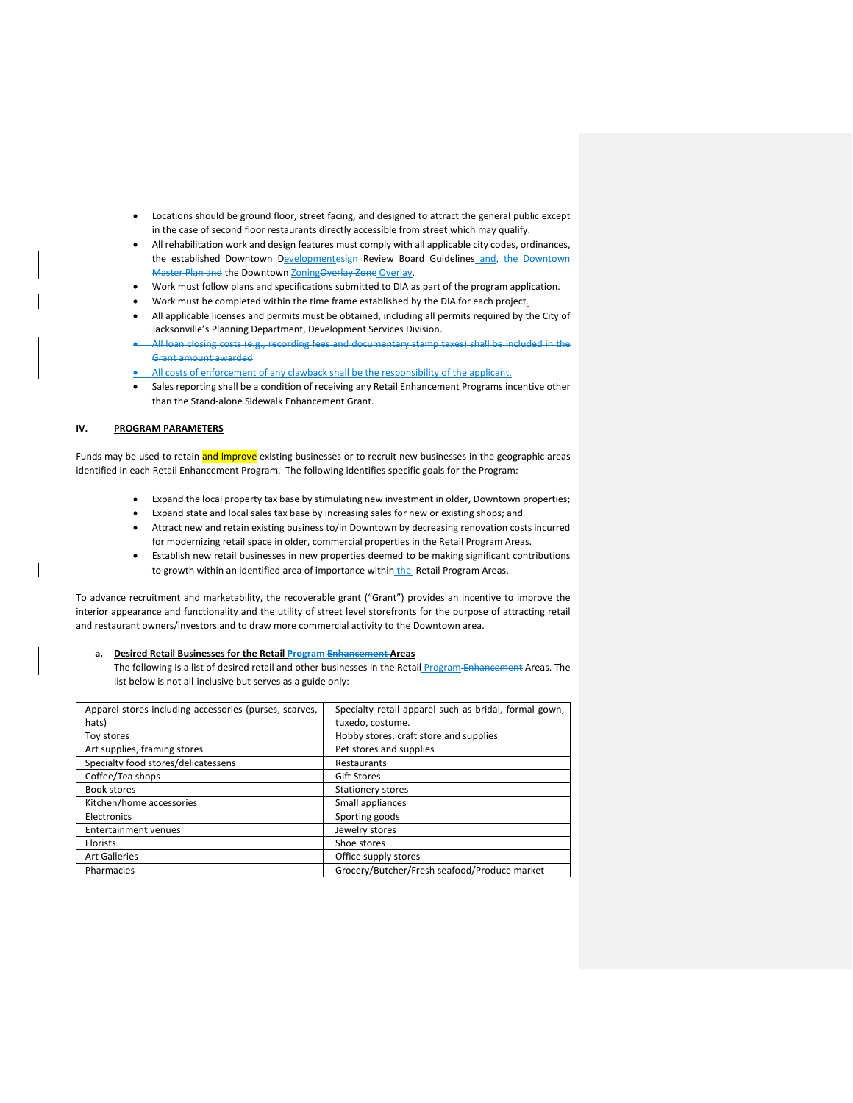- Locations should be ground floor, street facing, and designed to attract the general public except in the case of second floor restaurants directly accessible from street which may qualify.
- All rehabilitation work and design features must comply with all applicable city codes, ordinances, the established Downtown Developmentesign Review Board Guidelines and, the Downtown Master Plan and the Downtown ZoningOverlay Zone Overlay.
- Work must follow plans and specifications submitted to DIA as part of the program application.
- Work must be completed within the time frame established by the DIA for each project.
- All applicable licenses and permits must be obtained, including all permits required by the City of Jacksonville's Planning Department, Development Services Division.
- in closing costs (e.g., recording fees and documentary stamp taxes) shall be included in the Grant amount awarded
- All costs of enforcement of any clawback shall be the responsibility of the applicant.
- Sales reporting shall be a condition of receiving any Retail Enhancement Programs incentive other than the Stand-alone Sidewalk Enhancement Grant.

## **IV. PROGRAM PARAMETERS**

Funds may be used to retain and improve existing businesses or to recruit new businesses in the geographic areas identified in each Retail Enhancement Program. The following identifies specific goals for the Program:

- Expand the local property tax base by stimulating new investment in older, Downtown properties;
- Expand state and local sales tax base by increasing sales for new or existing shops; and
- Attract new and retain existing business to/in Downtown by decreasing renovation costs incurred for modernizing retail space in older, commercial properties in the Retail Program Areas.
- Establish new retail businesses in new properties deemed to be making significant contributions to growth within an identified area of importance within the -Retail Program Areas.

To advance recruitment and marketability, the recoverable grant ("Grant") provides an incentive to improve the interior appearance and functionality and the utility of street level storefronts for the purpose of attracting retail and restaurant owners/investors and to draw more commercial activity to the Downtown area.

#### **a. Desired Retail Businesses for the Retail Program Enhancement Areas**

The following is a list of desired retail and other businesses in the Retail Program Enhancement Areas. The list below is not all-inclusive but serves as a guide only:

| Apparel stores including accessories (purses, scarves, | Specialty retail apparel such as bridal, formal gown, |  |
|--------------------------------------------------------|-------------------------------------------------------|--|
| hats)                                                  | tuxedo, costume.                                      |  |
| Toy stores                                             | Hobby stores, craft store and supplies                |  |
| Art supplies, framing stores                           | Pet stores and supplies                               |  |
| Specialty food stores/delicatessens                    | Restaurants                                           |  |
| Coffee/Tea shops                                       | <b>Gift Stores</b>                                    |  |
| Book stores                                            | <b>Stationery stores</b>                              |  |
| Kitchen/home accessories                               | Small appliances                                      |  |
| Electronics                                            | Sporting goods                                        |  |
| <b>Entertainment venues</b>                            | Jewelry stores                                        |  |
| Florists                                               | Shoe stores                                           |  |
| <b>Art Galleries</b>                                   | Office supply stores                                  |  |
| Pharmacies                                             | Grocery/Butcher/Fresh seafood/Produce market          |  |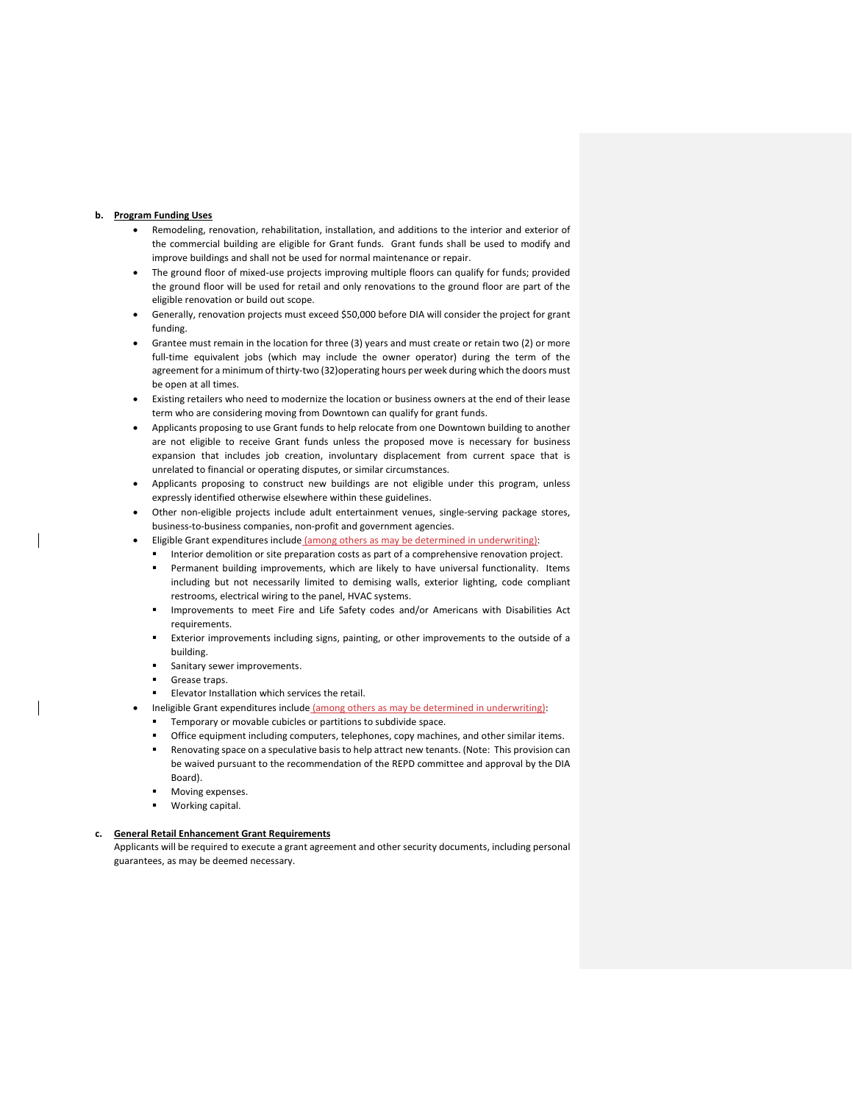## **b. Program Funding Uses**

- Remodeling, renovation, rehabilitation, installation, and additions to the interior and exterior of the commercial building are eligible for Grant funds. Grant funds shall be used to modify and improve buildings and shall not be used for normal maintenance or repair.
- The ground floor of mixed-use projects improving multiple floors can qualify for funds; provided the ground floor will be used for retail and only renovations to the ground floor are part of the eligible renovation or build out scope.
- Generally, renovation projects must exceed \$50,000 before DIA will consider the project for grant funding.
- Grantee must remain in the location for three (3) years and must create or retain two (2) or more full-time equivalent jobs (which may include the owner operator) during the term of the agreement for a minimum of thirty-two (32)operating hours per week during which the doors must be open at all times.
- Existing retailers who need to modernize the location or business owners at the end of their lease term who are considering moving from Downtown can qualify for grant funds.
- Applicants proposing to use Grant funds to help relocate from one Downtown building to another are not eligible to receive Grant funds unless the proposed move is necessary for business expansion that includes job creation, involuntary displacement from current space that is unrelated to financial or operating disputes, or similar circumstances.
- Applicants proposing to construct new buildings are not eligible under this program, unless expressly identified otherwise elsewhere within these guidelines.
- Other non-eligible projects include adult entertainment venues, single-serving package stores, business-to-business companies, non-profit and government agencies.
- Eligible Grant expenditures include (among others as may be determined in underwriting):
	- Interior demolition or site preparation costs as part of a comprehensive renovation project.
	- Permanent building improvements, which are likely to have universal functionality. Items including but not necessarily limited to demising walls, exterior lighting, code compliant restrooms, electrical wiring to the panel, HVAC systems.
	- Improvements to meet Fire and Life Safety codes and/or Americans with Disabilities Act requirements.
	- Exterior improvements including signs, painting, or other improvements to the outside of a building.
	- Sanitary sewer improvements.
	- Grease traps.
	- Elevator Installation which services the retail.
	- Ineligible Grant expenditures include (among others as may be determined in underwriting):
	- Temporary or movable cubicles or partitions to subdivide space.
	- Office equipment including computers, telephones, copy machines, and other similar items.
	- Renovating space on a speculative basis to help attract new tenants. (Note: This provision can be waived pursuant to the recommendation of the REPD committee and approval by the DIA Board).
	- Moving expenses.
	- Working capital.

#### **c. General Retail Enhancement Grant Requirements**

Applicants will be required to execute a grant agreement and other security documents, including personal guarantees, as may be deemed necessary.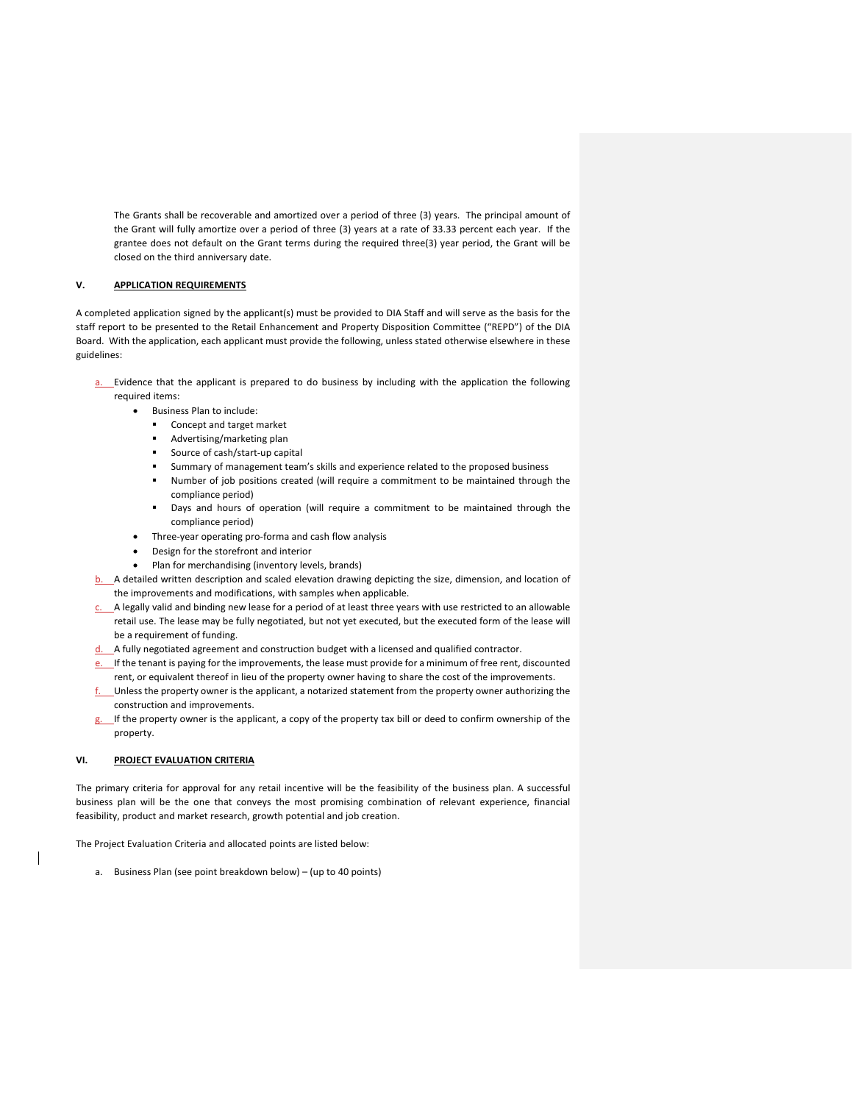The Grants shall be recoverable and amortized over a period of three (3) years. The principal amount of the Grant will fully amortize over a period of three (3) years at a rate of 33.33 percent each year. If the grantee does not default on the Grant terms during the required three(3) year period, the Grant will be closed on the third anniversary date.

## **V. APPLICATION REQUIREMENTS**

A completed application signed by the applicant(s) must be provided to DIA Staff and will serve as the basis for the staff report to be presented to the Retail Enhancement and Property Disposition Committee ("REPD") of the DIA Board. With the application, each applicant must provide the following, unless stated otherwise elsewhere in these guidelines:

- a. Evidence that the applicant is prepared to do business by including with the application the following required items:
	- Business Plan to include:
		- **Concept and target market**
		- Advertising/marketing plan
		- **Source of cash/start-up capital**
		- Summary of management team's skills and experience related to the proposed business
		- Number of job positions created (will require a commitment to be maintained through the compliance period)
		- Days and hours of operation (will require a commitment to be maintained through the compliance period)
	- Three-year operating pro-forma and cash flow analysis
	- Design for the storefront and interior
	- Plan for merchandising (inventory levels, brands)
- A detailed written description and scaled elevation drawing depicting the size, dimension, and location of the improvements and modifications, with samples when applicable.
- A legally valid and binding new lease for a period of at least three years with use restricted to an allowable retail use. The lease may be fully negotiated, but not yet executed, but the executed form of the lease will be a requirement of funding.
- d. A fully negotiated agreement and construction budget with a licensed and qualified contractor.
- If the tenant is paying for the improvements, the lease must provide for a minimum of free rent, discounted rent, or equivalent thereof in lieu of the property owner having to share the cost of the improvements.
- f. Unless the property owner is the applicant, a notarized statement from the property owner authorizing the construction and improvements.
- If the property owner is the applicant, a copy of the property tax bill or deed to confirm ownership of the property.

#### **VI. PROJECT EVALUATION CRITERIA**

The primary criteria for approval for any retail incentive will be the feasibility of the business plan. A successful business plan will be the one that conveys the most promising combination of relevant experience, financial feasibility, product and market research, growth potential and job creation.

The Project Evaluation Criteria and allocated points are listed below:

a. Business Plan (see point breakdown below) – (up to 40 points)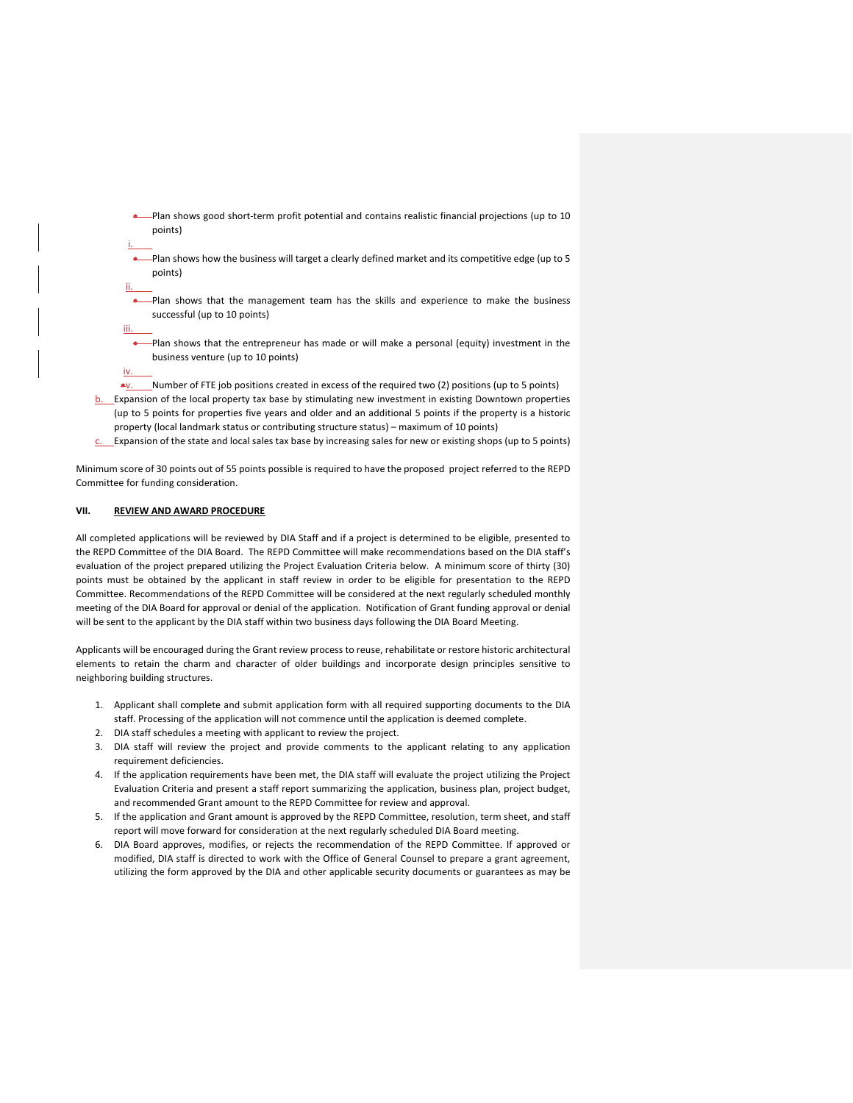- Plan shows good short-term profit potential and contains realistic financial projections (up to 10 points)
- Plan shows how the business will target a clearly defined market and its competitive edge (up to 5 points)
- Plan shows that the management team has the skills and experience to make the business successful (up to 10 points)
- Plan shows that the entrepreneur has made or will make a personal (equity) investment in the business venture (up to 10 points)
- •v. Number of FTE job positions created in excess of the required two (2) positions (up to 5 points)
- Expansion of the local property tax base by stimulating new investment in existing Downtown properties (up to 5 points for properties five years and older and an additional 5 points if the property is a historic property (local landmark status or contributing structure status) – maximum of 10 points)
- Expansion of the state and local sales tax base by increasing sales for new or existing shops (up to 5 points)

Minimum score of 30 points out of 55 points possible is required to have the proposed project referred to the REPD Committee for funding consideration.

## **VII. REVIEW AND AWARD PROCEDURE**

i.

ii.

iii.

iv.

All completed applications will be reviewed by DIA Staff and if a project is determined to be eligible, presented to the REPD Committee of the DIA Board. The REPD Committee will make recommendations based on the DIA staff's evaluation of the project prepared utilizing the Project Evaluation Criteria below. A minimum score of thirty (30) points must be obtained by the applicant in staff review in order to be eligible for presentation to the REPD Committee. Recommendations of the REPD Committee will be considered at the next regularly scheduled monthly meeting of the DIA Board for approval or denial of the application. Notification of Grant funding approval or denial will be sent to the applicant by the DIA staff within two business days following the DIA Board Meeting.

Applicants will be encouraged during the Grant review process to reuse, rehabilitate or restore historic architectural elements to retain the charm and character of older buildings and incorporate design principles sensitive to neighboring building structures.

- 1. Applicant shall complete and submit application form with all required supporting documents to the DIA staff. Processing of the application will not commence until the application is deemed complete.
- 2. DIA staff schedules a meeting with applicant to review the project.
- 3. DIA staff will review the project and provide comments to the applicant relating to any application requirement deficiencies.
- 4. If the application requirements have been met, the DIA staff will evaluate the project utilizing the Project Evaluation Criteria and present a staff report summarizing the application, business plan, project budget, and recommended Grant amount to the REPD Committee for review and approval.
- 5. If the application and Grant amount is approved by the REPD Committee, resolution, term sheet, and staff report will move forward for consideration at the next regularly scheduled DIA Board meeting.
- 6. DIA Board approves, modifies, or rejects the recommendation of the REPD Committee. If approved or modified, DIA staff is directed to work with the Office of General Counsel to prepare a grant agreement, utilizing the form approved by the DIA and other applicable security documents or guarantees as may be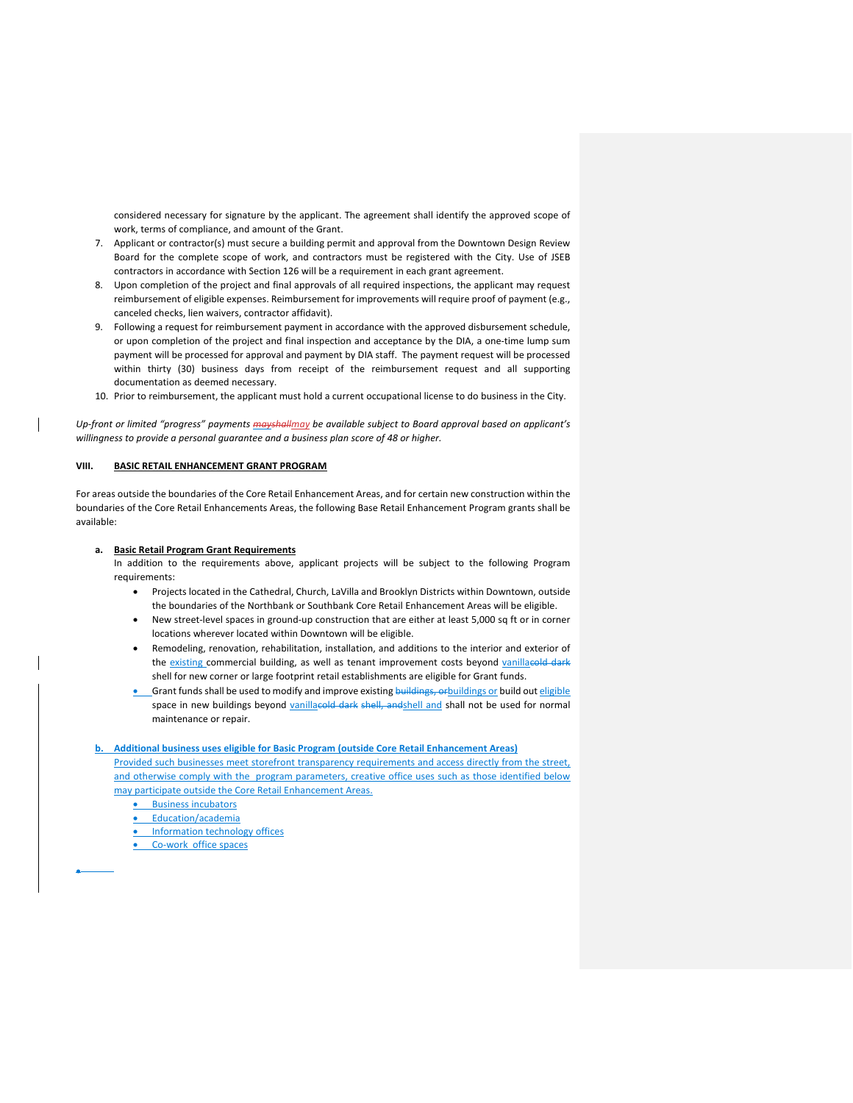considered necessary for signature by the applicant. The agreement shall identify the approved scope of work, terms of compliance, and amount of the Grant.

- 7. Applicant or contractor(s) must secure a building permit and approval from the Downtown Design Review Board for the complete scope of work, and contractors must be registered with the City. Use of JSEB contractors in accordance with Section 126 will be a requirement in each grant agreement.
- 8. Upon completion of the project and final approvals of all required inspections, the applicant may request reimbursement of eligible expenses. Reimbursement for improvements will require proof of payment (e.g., canceled checks, lien waivers, contractor affidavit).
- 9. Following a request for reimbursement payment in accordance with the approved disbursement schedule, or upon completion of the project and final inspection and acceptance by the DIA, a one-time lump sum payment will be processed for approval and payment by DIA staff. The payment request will be processed within thirty (30) business days from receipt of the reimbursement request and all supporting documentation as deemed necessary.
- 10. Prior to reimbursement, the applicant must hold a current occupational license to do business in the City.

*Up-front or limited "progress" payments mayshallmay be available subject to Board approval based on applicant's willingness to provide a personal guarantee and a business plan score of 48 or higher.*

#### **VIII. BASIC RETAIL ENHANCEMENT GRANT PROGRAM**

For areas outside the boundaries of the Core Retail Enhancement Areas, and for certain new construction within the boundaries of the Core Retail Enhancements Areas, the following Base Retail Enhancement Program grants shall be available:

#### **a. Basic Retail Program Grant Requirements**

In addition to the requirements above, applicant projects will be subject to the following Program requirements:

- Projects located in the Cathedral, Church, LaVilla and Brooklyn Districts within Downtown, outside the boundaries of the Northbank or Southbank Core Retail Enhancement Areas will be eligible.
- New street-level spaces in ground-up construction that are either at least 5,000 sq ft or in corner locations wherever located within Downtown will be eligible.
- Remodeling, renovation, rehabilitation, installation, and additions to the interior and exterior of the existing commercial building, as well as tenant improvement costs beyond vanillacold shell for new corner or large footprint retail establishments are eligible for Grant funds.
- **•** Grant funds shall be used to modify and improve existing buildings, or buildings or build out eligible space in new buildings beyond vanillacold dark shell, and shall and shall not be used for normal maintenance or repair.

## **b. Additional business uses eligible for Basic Program (outside Core Retail Enhancement Areas)** Provided such businesses meet storefront transparency requirements and access directly from the street, and otherwise comply with the program parameters, creative office uses such as those identified below may participate outside the Core Retail Enhancement Areas.

- **•** Business incubators
- Education/academia
- Information technology offices
- Co-work office spaces

•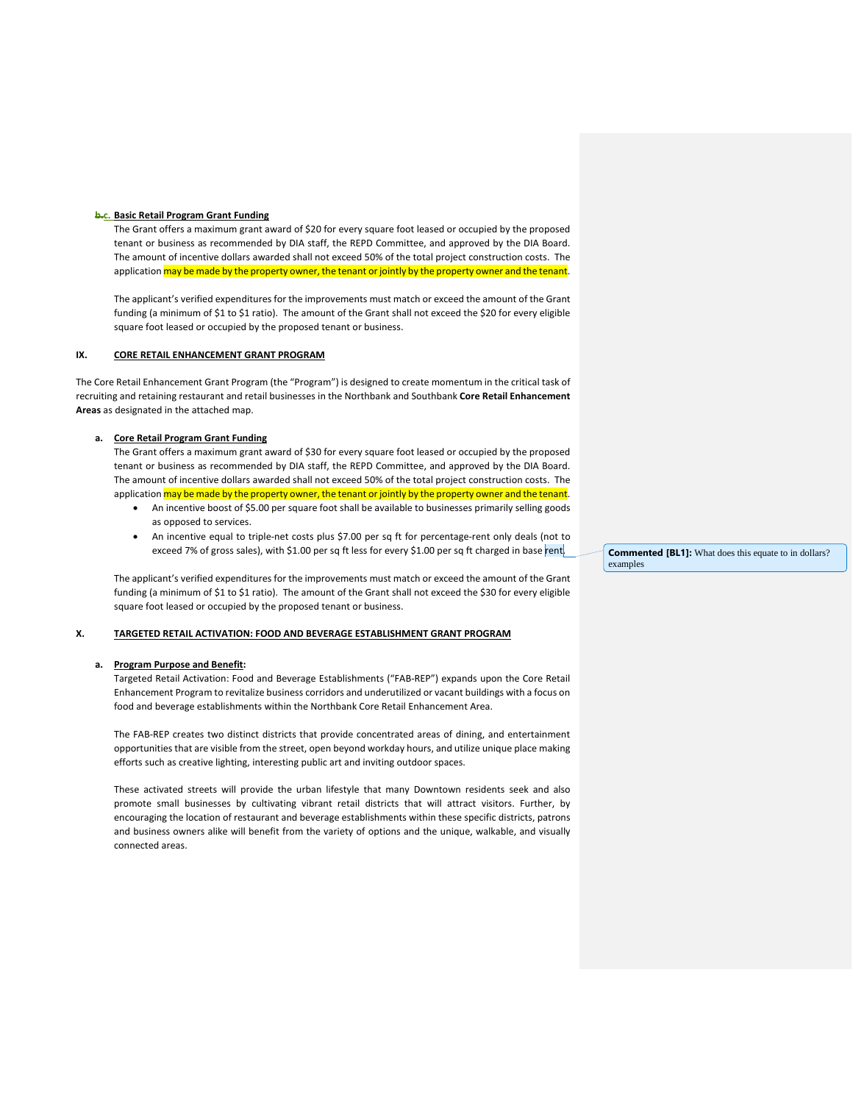#### **b.c. Basic Retail Program Grant Funding**

The Grant offers a maximum grant award of \$20 for every square foot leased or occupied by the proposed tenant or business as recommended by DIA staff, the REPD Committee, and approved by the DIA Board. The amount of incentive dollars awarded shall not exceed 50% of the total project construction costs. The application may be made by the property owner, the tenant or jointly by the property owner and the tenant.

The applicant's verified expenditures for the improvements must match or exceed the amount of the Grant funding (a minimum of \$1 to \$1 ratio). The amount of the Grant shall not exceed the \$20 for every eligible square foot leased or occupied by the proposed tenant or business.

#### **IX. CORE RETAIL ENHANCEMENT GRANT PROGRAM**

The Core Retail Enhancement Grant Program (the "Program") is designed to create momentum in the critical task of recruiting and retaining restaurant and retail businesses in the Northbank and Southbank **Core Retail Enhancement Areas** as designated in the attached map.

#### **a. Core Retail Program Grant Funding**

The Grant offers a maximum grant award of \$30 for every square foot leased or occupied by the proposed tenant or business as recommended by DIA staff, the REPD Committee, and approved by the DIA Board. The amount of incentive dollars awarded shall not exceed 50% of the total project construction costs. The application may be made by the property owner, the tenant or jointly by the property owner and the tenant.

- An incentive boost of \$5.00 per square foot shall be available to businesses primarily selling goods as opposed to services.
- An incentive equal to triple-net costs plus \$7.00 per sq ft for percentage-rent only deals (not to exceed 7% of gross sales), with \$1.00 per sq ft less for every \$1.00 per sq ft charged in base rent.

The applicant's verified expenditures for the improvements must match or exceed the amount of the Grant funding (a minimum of \$1 to \$1 ratio). The amount of the Grant shall not exceed the \$30 for every eligible square foot leased or occupied by the proposed tenant or business.

## **X. TARGETED RETAIL ACTIVATION: FOOD AND BEVERAGE ESTABLISHMENT GRANT PROGRAM**

#### **a. Program Purpose and Benefit:**

Targeted Retail Activation: Food and Beverage Establishments ("FAB-REP") expands upon the Core Retail Enhancement Program to revitalize business corridors and underutilized or vacant buildings with a focus on food and beverage establishments within the Northbank Core Retail Enhancement Area.

The FAB-REP creates two distinct districts that provide concentrated areas of dining, and entertainment opportunities that are visible from the street, open beyond workday hours, and utilize unique place making efforts such as creative lighting, interesting public art and inviting outdoor spaces.

These activated streets will provide the urban lifestyle that many Downtown residents seek and also promote small businesses by cultivating vibrant retail districts that will attract visitors. Further, by encouraging the location of restaurant and beverage establishments within these specific districts, patrons and business owners alike will benefit from the variety of options and the unique, walkable, and visually connected areas.

**Commented [BL1]:** What does this equate to in dollars? examples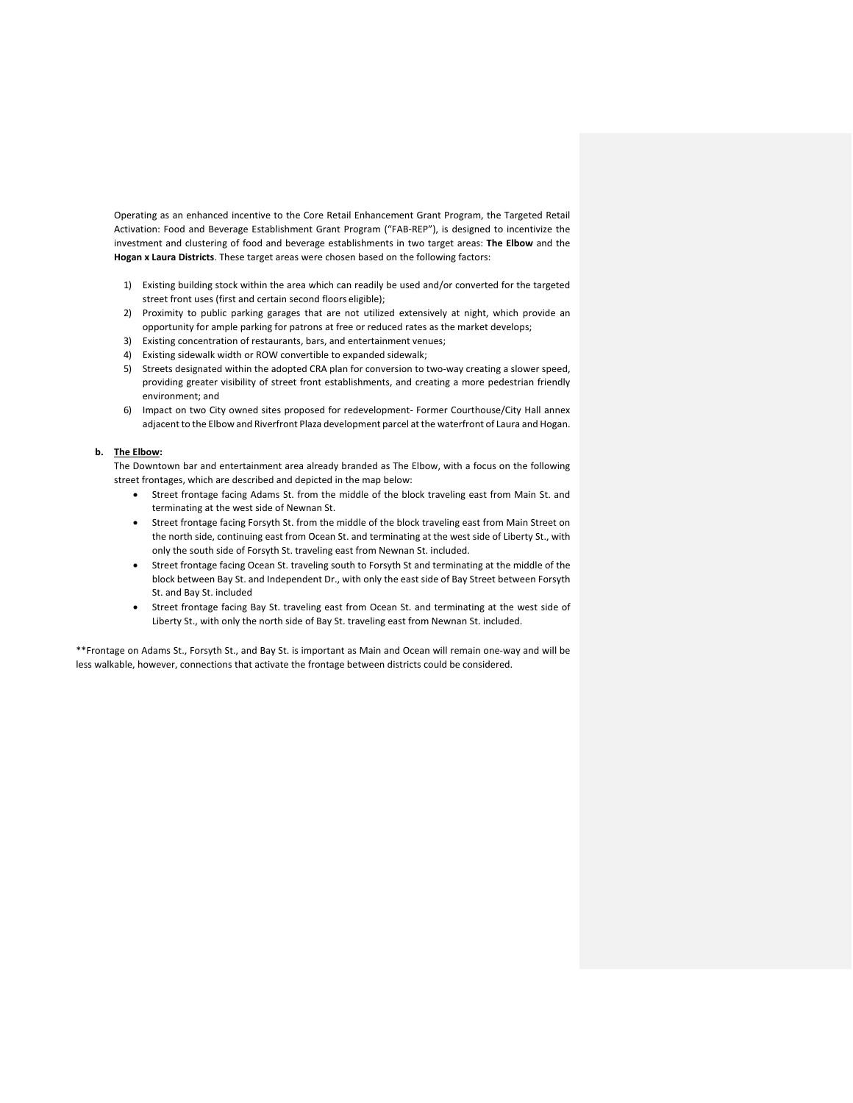Operating as an enhanced incentive to the Core Retail Enhancement Grant Program, the Targeted Retail Activation: Food and Beverage Establishment Grant Program ("FAB-REP"), is designed to incentivize the investment and clustering of food and beverage establishments in two target areas: **The Elbow** and the **Hogan x Laura Districts**. These target areas were chosen based on the following factors:

- 1) Existing building stock within the area which can readily be used and/or converted for the targeted street front uses (first and certain second floors eligible);
- 2) Proximity to public parking garages that are not utilized extensively at night, which provide an opportunity for ample parking for patrons at free or reduced rates as the market develops;
- 3) Existing concentration of restaurants, bars, and entertainment venues;
- 4) Existing sidewalk width or ROW convertible to expanded sidewalk;
- 5) Streets designated within the adopted CRA plan for conversion to two-way creating a slower speed, providing greater visibility of street front establishments, and creating a more pedestrian friendly environment; and
- 6) Impact on two City owned sites proposed for redevelopment- Former Courthouse/City Hall annex adjacent to the Elbow and Riverfront Plaza development parcel at the waterfront of Laura and Hogan.

## **b. The Elbow:**

The Downtown bar and entertainment area already branded as The Elbow, with a focus on the following street frontages, which are described and depicted in the map below:

- Street frontage facing Adams St. from the middle of the block traveling east from Main St. and terminating at the west side of Newnan St.
- Street frontage facing Forsyth St. from the middle of the block traveling east from Main Street on the north side, continuing east from Ocean St. and terminating at the west side of Liberty St., with only the south side of Forsyth St. traveling east from Newnan St. included.
- Street frontage facing Ocean St. traveling south to Forsyth St and terminating at the middle of the block between Bay St. and Independent Dr., with only the east side of Bay Street between Forsyth St. and Bay St. included
- Street frontage facing Bay St. traveling east from Ocean St. and terminating at the west side of Liberty St., with only the north side of Bay St. traveling east from Newnan St. included.

\*\*Frontage on Adams St., Forsyth St., and Bay St. is important as Main and Ocean will remain one-way and will be less walkable, however, connections that activate the frontage between districts could be considered.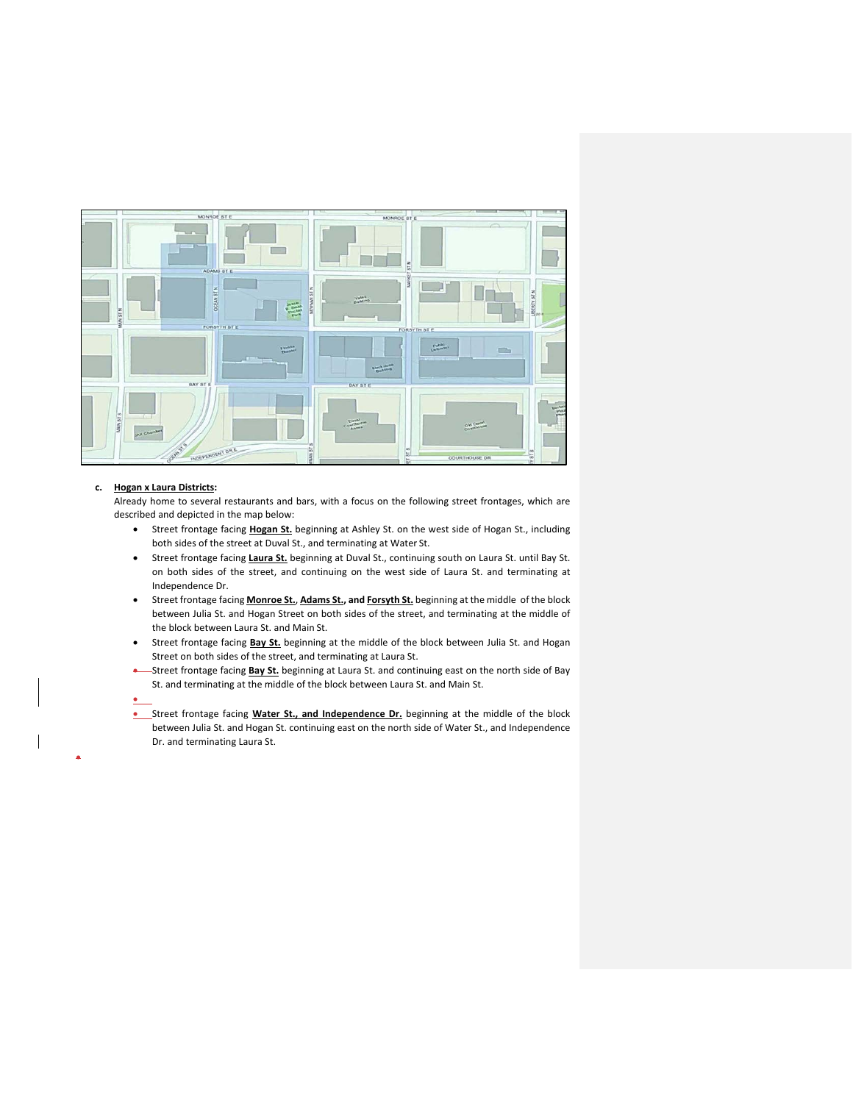

### **c. Hogan x Laura Districts:**

•

•

Already home to several restaurants and bars, with a focus on the following street frontages, which are described and depicted in the map below:

- Street frontage facing **Hogan St.** beginning at Ashley St. on the west side of Hogan St., including both sides of the street at Duval St., and terminating at Water St.
- Street frontage facing **Laura St.** beginning at Duval St., continuing south on Laura St. until Bay St. on both sides of the street, and continuing on the west side of Laura St. and terminating at Independence Dr.
- Street frontage facing **Monroe St.**, **Adams St., and Forsyth St.** beginning at the middle of the block between Julia St. and Hogan Street on both sides of the street, and terminating at the middle of the block between Laura St. and Main St.
- Street frontage facing **Bay St.** beginning at the middle of the block between Julia St. and Hogan Street on both sides of the street, and terminating at Laura St.
- Street frontage facing **Bay St.** beginning at Laura St. and continuing east on the north side of Bay St. and terminating at the middle of the block between Laura St. and Main St.
- 
- **•** Street frontage facing Water St., and Independence Dr. beginning at the middle of the block between Julia St. and Hogan St. continuing east on the north side of Water St., and Independence Dr. and terminating Laura St.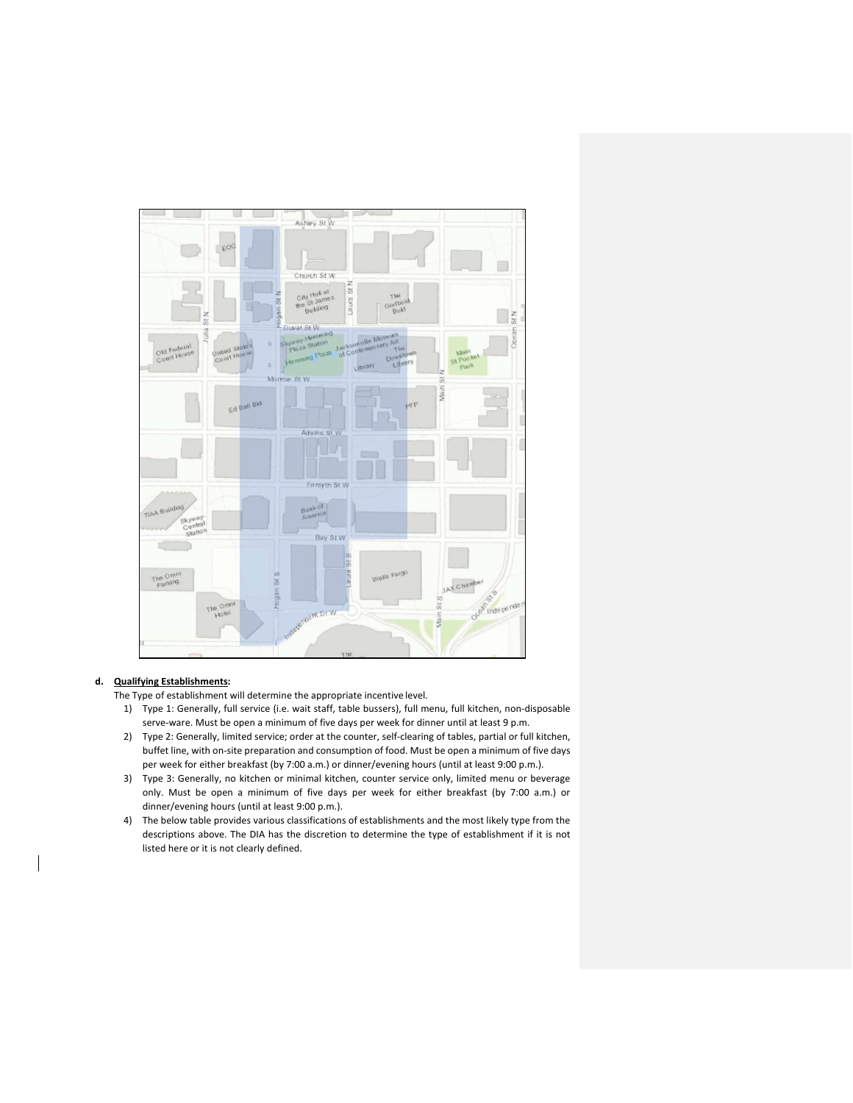

# **d. Qualifying Establishments:**

The Type of establishment will determine the appropriate incentive level.

- 1) Type 1: Generally, full service (i.e. wait staff, table bussers), full menu, full kitchen, non-disposable serve-ware. Must be open a minimum of five days per week for dinner until at least 9 p.m.
- 2) Type 2: Generally, limited service; order at the counter, self-clearing of tables, partial or full kitchen, buffet line, with on-site preparation and consumption of food. Must be open a minimum of five days per week for either breakfast (by 7:00 a.m.) or dinner/evening hours (until at least 9:00 p.m.).
- 3) Type 3: Generally, no kitchen or minimal kitchen, counter service only, limited menu or beverage only. Must be open a minimum of five days per week for either breakfast (by 7:00 a.m.) or dinner/evening hours (until at least 9:00 p.m.).
- 4) The below table provides various classifications of establishments and the most likely type from the descriptions above. The DIA has the discretion to determine the type of establishment if it is not listed here or it is not clearly defined.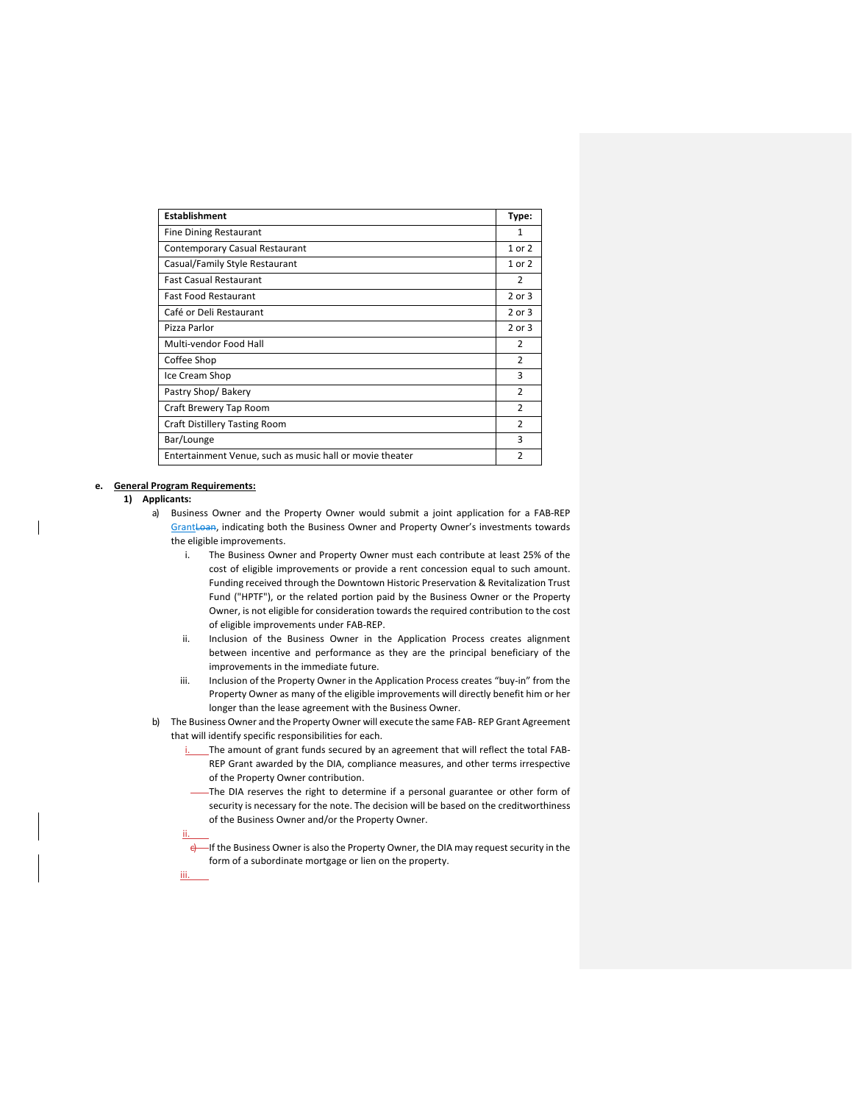| <b>Establishment</b>                                     | Type:          |
|----------------------------------------------------------|----------------|
| <b>Fine Dining Restaurant</b>                            | 1              |
| Contemporary Casual Restaurant                           | 1 or 2         |
| Casual/Family Style Restaurant                           | 1 or 2         |
| <b>Fast Casual Restaurant</b>                            | 2              |
| <b>Fast Food Restaurant</b>                              | $2$ or $3$     |
| Café or Deli Restaurant                                  | 2 or 3         |
| Pizza Parlor                                             | 2 or 3         |
| Multi-vendor Food Hall                                   | $\overline{2}$ |
| Coffee Shop                                              | $\mathcal{P}$  |
| Ice Cream Shop                                           | 3              |
| Pastry Shop/Bakery                                       | $\overline{2}$ |
| Craft Brewery Tap Room                                   | $\mathcal{P}$  |
| <b>Craft Distillery Tasting Room</b>                     | 2              |
| Bar/Lounge                                               | 3              |
| Entertainment Venue, such as music hall or movie theater |                |

#### **e. General Program Requirements:**

ii.

iii.

### **1) Applicants:**

- a) Business Owner and the Property Owner would submit a joint application for a FAB-REP GrantLoan, indicating both the Business Owner and Property Owner's investments towards the eligible improvements.
	- i. The Business Owner and Property Owner must each contribute at least 25% of the cost of eligible improvements or provide a rent concession equal to such amount. Funding received through the Downtown Historic Preservation & Revitalization Trust Fund ("HPTF"), or the related portion paid by the Business Owner or the Property Owner, is not eligible for consideration towards the required contribution to the cost of eligible improvements under FAB-REP.
	- ii. Inclusion of the Business Owner in the Application Process creates alignment between incentive and performance as they are the principal beneficiary of the improvements in the immediate future.
	- iii. Inclusion of the Property Owner in the Application Process creates "buy-in" from the Property Owner as many of the eligible improvements will directly benefit him or her longer than the lease agreement with the Business Owner.
- b) The Business Owner and the Property Owner will execute the same FAB- REP Grant Agreement that will identify specific responsibilities for each.
	- i. The amount of grant funds secured by an agreement that will reflect the total FAB-REP Grant awarded by the DIA, compliance measures, and other terms irrespective of the Property Owner contribution.
	- The DIA reserves the right to determine if a personal guarantee or other form of security is necessary for the note. The decision will be based on the creditworthiness of the Business Owner and/or the Property Owner.
	- e If the Business Owner is also the Property Owner, the DIA may request security in the form of a subordinate mortgage or lien on the property.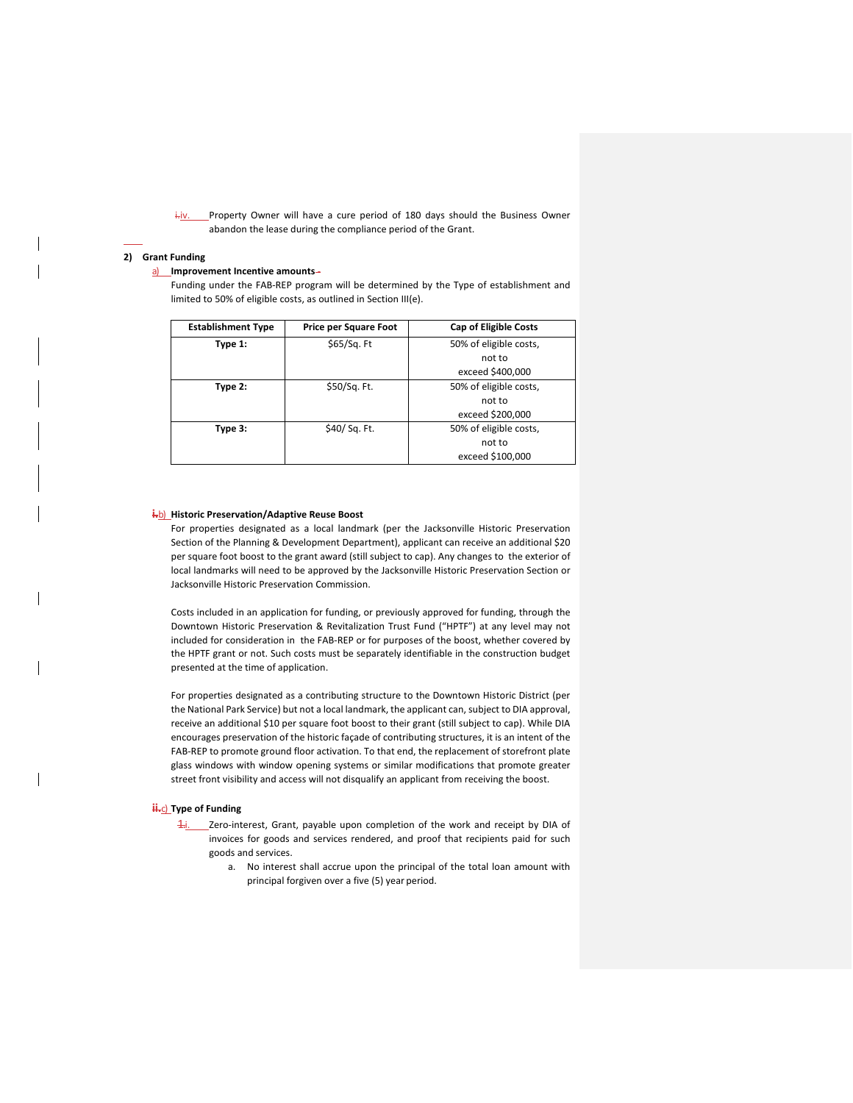i-jv. Property Owner will have a cure period of 180 days should the Business Owner abandon the lease during the compliance period of the Grant.

#### **2) Grant Funding**

#### a) **Improvement Incentive amounts-**

Funding under the FAB-REP program will be determined by the Type of establishment and limited to 50% of eligible costs, as outlined in Section III(e).

| <b>Establishment Type</b> | <b>Price per Square Foot</b> | <b>Cap of Eligible Costs</b> |
|---------------------------|------------------------------|------------------------------|
| Type 1:                   | \$65/Sq. Ft                  | 50% of eligible costs,       |
|                           |                              | not to                       |
|                           |                              | exceed \$400,000             |
| Type 2:                   | \$50/Sq. Ft.                 | 50% of eligible costs,       |
|                           |                              | not to                       |
|                           |                              | exceed \$200,000             |
| Type 3:                   | \$40/ Sq. Ft.                | 50% of eligible costs,       |
|                           |                              | not to                       |
|                           |                              | exceed \$100,000             |

## **i.**b) **Historic Preservation/Adaptive Reuse Boost**

For properties designated as a local landmark (per the Jacksonville Historic Preservation Section of the Planning & Development Department), applicant can receive an additional \$20 per square foot boost to the grant award (still subject to cap). Any changes to the exterior of local landmarks will need to be approved by the Jacksonville Historic Preservation Section or Jacksonville Historic Preservation Commission.

Costs included in an application for funding, or previously approved for funding, through the Downtown Historic Preservation & Revitalization Trust Fund ("HPTF") at any level may not included for consideration in the FAB-REP or for purposes of the boost, whether covered by the HPTF grant or not. Such costs must be separately identifiable in the construction budget presented at the time of application.

For properties designated as a contributing structure to the Downtown Historic District (per the National Park Service) but not a local landmark, the applicant can, subject to DIA approval, receive an additional \$10 per square foot boost to their grant (still subject to cap). While DIA encourages preservation of the historic façade of contributing structures, it is an intent of the FAB-REP to promote ground floor activation. To that end, the replacement of storefront plate glass windows with window opening systems or similar modifications that promote greater street front visibility and access will not disqualify an applicant from receiving the boost.

#### **ii.**<sub>C</sub>) Type of Funding

- 1. Zero-interest, Grant, payable upon completion of the work and receipt by DIA of invoices for goods and services rendered, and proof that recipients paid for such goods and services.
	- a. No interest shall accrue upon the principal of the total loan amount with principal forgiven over a five (5) year period.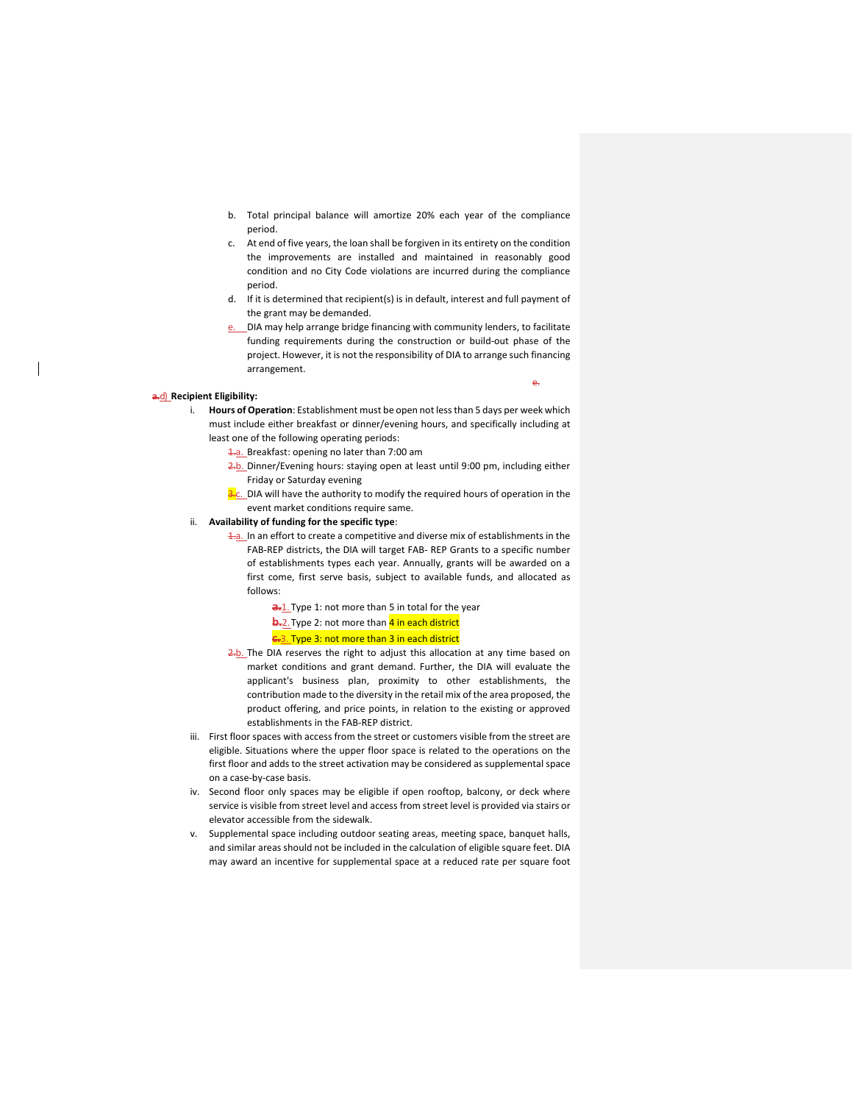- b. Total principal balance will amortize 20% each year of the compliance period.
- c. At end of five years, the loan shall be forgiven in its entirety on the condition the improvements are installed and maintained in reasonably good condition and no City Code violations are incurred during the compliance period.
- d. If it is determined that recipient(s) is in default, interest and full payment of the grant may be demanded.
- DIA may help arrange bridge financing with community lenders, to facilitate funding requirements during the construction or build-out phase of the project. However, it is not the responsibility of DIA to arrange such financing arrangement.

e.

## **a.**d) **Recipient Eligibility:**

- i. **Hours of Operation**: Establishment must be open not less than 5 days per week which must include either breakfast or dinner/evening hours, and specifically including at least one of the following operating periods:
	- 1.a. Breakfast: opening no later than 7:00 am
	- 2.b. Dinner/Evening hours: staying open at least until 9:00 pm, including either Friday or Saturday evening
	- $\frac{3}{2}$ c. DIA will have the authority to modify the required hours of operation in the event market conditions require same.

## ii. **Availability of funding for the specific type**:

- 1.a. In an effort to create a competitive and diverse mix of establishments in the FAB-REP districts, the DIA will target FAB- REP Grants to a specific number of establishments types each year. Annually, grants will be awarded on a first come, first serve basis, subject to available funds, and allocated as follows:
	- **a.**1. Type 1: not more than 5 in total for the year **b.**2. Type 2: not more than 4 in each district

#### **c.**3. Type 3: not more than 3 in each district

- 2.b. The DIA reserves the right to adjust this allocation at any time based on market conditions and grant demand. Further, the DIA will evaluate the applicant's business plan, proximity to other establishments, the contribution made to the diversity in the retail mix of the area proposed, the product offering, and price points, in relation to the existing or approved establishments in the FAB-REP district.
- iii. First floor spaces with access from the street or customers visible from the street are eligible. Situations where the upper floor space is related to the operations on the first floor and adds to the street activation may be considered as supplemental space on a case-by-case basis.
- iv. Second floor only spaces may be eligible if open rooftop, balcony, or deck where service is visible from street level and access from street level is provided via stairs or elevator accessible from the sidewalk.
- v. Supplemental space including outdoor seating areas, meeting space, banquet halls, and similar areas should not be included in the calculation of eligible square feet. DIA may award an incentive for supplemental space at a reduced rate per square foot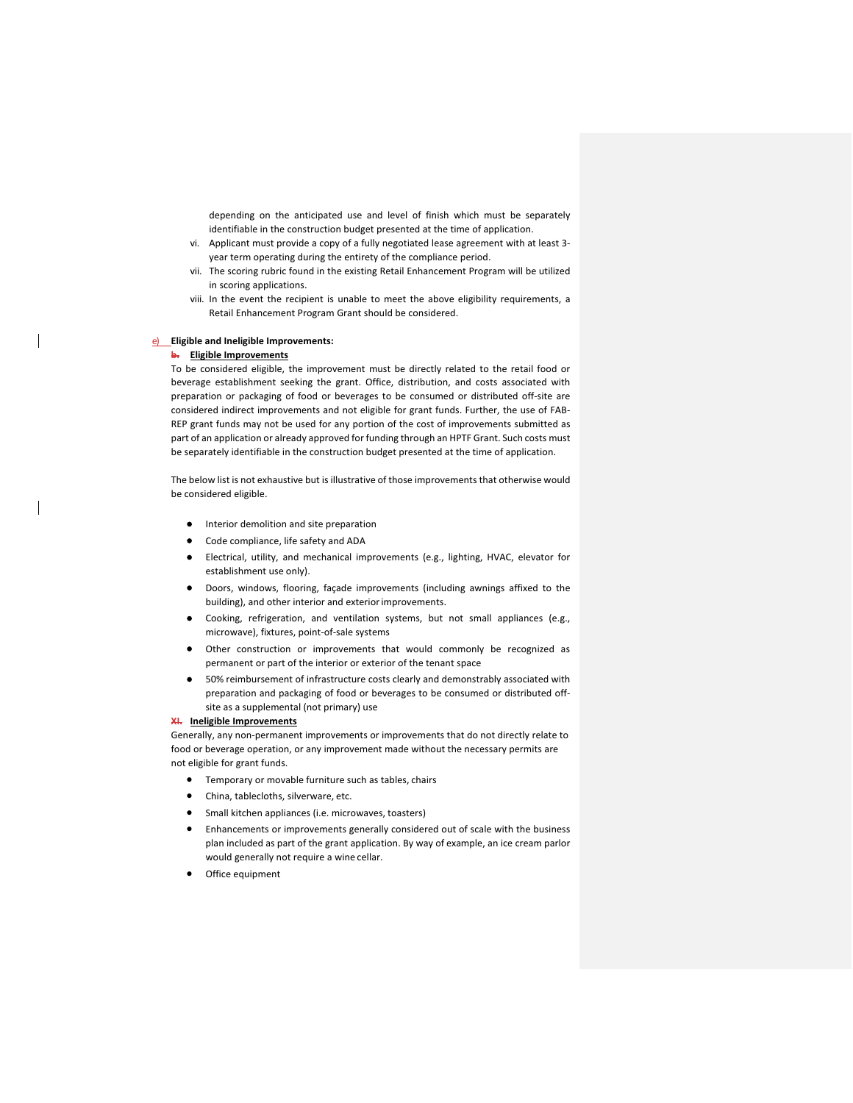depending on the anticipated use and level of finish which must be separately identifiable in the construction budget presented at the time of application.

- vi. Applicant must provide a copy of a fully negotiated lease agreement with at least 3 year term operating during the entirety of the compliance period.
- vii. The scoring rubric found in the existing Retail Enhancement Program will be utilized in scoring applications.
- viii. In the event the recipient is unable to meet the above eligibility requirements, a Retail Enhancement Program Grant should be considered.

## e) **Eligible and Ineligible Improvements:**

#### **b. Eligible Improvements**

To be considered eligible, the improvement must be directly related to the retail food or beverage establishment seeking the grant. Office, distribution, and costs associated with preparation or packaging of food or beverages to be consumed or distributed off-site are considered indirect improvements and not eligible for grant funds. Further, the use of FAB-REP grant funds may not be used for any portion of the cost of improvements submitted as part of an application or already approved for funding through an HPTF Grant. Such costs must be separately identifiable in the construction budget presented at the time of application.

The below list is not exhaustive but is illustrative of those improvements that otherwise would be considered eligible.

- **•** Interior demolition and site preparation
- Code compliance, life safety and ADA
- Electrical, utility, and mechanical improvements (e.g., lighting, HVAC, elevator for establishment use only).
- Doors, windows, flooring, façade improvements (including awnings affixed to the building), and other interior and exterior improvements.
- Cooking, refrigeration, and ventilation systems, but not small appliances (e.g., microwave), fixtures, point-of-sale systems
- Other construction or improvements that would commonly be recognized as permanent or part of the interior or exterior of the tenant space
- 50% reimbursement of infrastructure costs clearly and demonstrably associated with preparation and packaging of food or beverages to be consumed or distributed offsite as a supplemental (not primary) use

## **XI. Ineligible Improvements**

Generally, any non-permanent improvements or improvements that do not directly relate to food or beverage operation, or any improvement made without the necessary permits are not eligible for grant funds.

- Temporary or movable furniture such as tables, chairs
- China, tablecloths, silverware, etc.
- Small kitchen appliances (i.e. microwaves, toasters)
- Enhancements or improvements generally considered out of scale with the business plan included as part of the grant application. By way of example, an ice cream parlor would generally not require a wine cellar.
- Office equipment